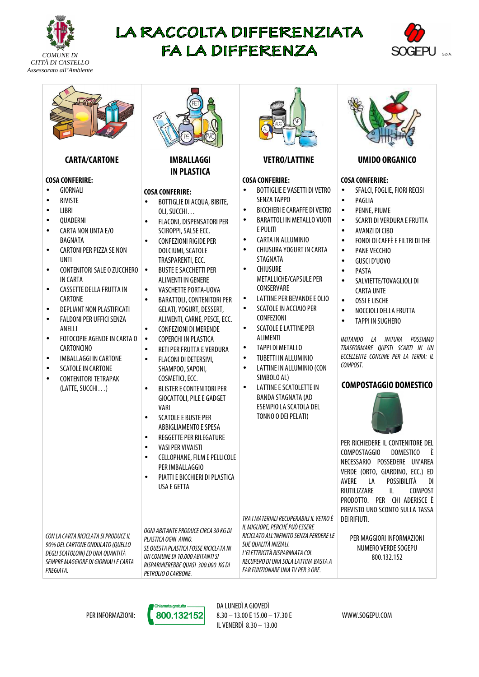

# LA RACCOLTA DIFFERENZIATA FA LA DIFFERENZA





# **CARTA/CARTONE**

## **COSA CONFERIRE:**

- GIORNALI
- RIVISTE
- LIBRI
- QUADERNI
- CARTA NON UNTA E/O BAGNATA
- CARTONI PER PIZZA SE NON UNTI
- CONTENITORI SALE O ZUCCHERO IN CARTA
- CASSETTE DELLA FRUTTA IN CARTONE
- DEPLIANT NON PLASTIFICATI • FALDONI PER UFFICI SENZA
- **ANFILI**
- FOTOCOPIE AGENDE IN CARTA O CARTONCINO
- IMBALLAGGI IN CARTONE
- SCATOLE IN CARTONE
- CONTENITORI TETRAPAK (LATTE, SUCCHI…)



## **IMBALLAGGI IN PLASTICA**

## **COSA CONFERIRE:**

- BOTTIGLIE DI ACQUA, BIBITE, OLI, SUCCHI…
- FLACONI, DISPENSATORI PER SCIROPPI, SALSE ECC.
- CONFEZIONI RIGIDE PER DOLCIUMI, SCATOLE TRASPARENTI, ECC.
- BUSTE E SACCHETTI PER ALIMENTI IN GENERE
- VASCHETTE PORTA-UOVA
- BARATTOLI, CONTENITORI PER GELATI, YOGURT, DESSERT, ALIMENTI, CARNE, PESCE, ECC.
- CONFEZIONI DI MERENDE
- COPERCHI IN PLASTICA
- RETI PER FRUTTA E VERDURA
- FLACONI DI DETERSIVI, SHAMPOO, SAPONI, COSMETICI, ECC.
- BLISTER E CONTENITORI PER GIOCATTOLI, PILE E GADGET VARI
- SCATOLE E BUSTE PER ABBIGLIAMENTO E SPESA
- REGGETTE PER RILEGATURE
- VASI PER VIVAISTI
- CELLOPHANE, FILM E PELLICOLE PER IMBALLAGGIO
- PIATTI E BICCHIERI DI PLASTICA USA E GETTA

CON LA CARTA RICICLATA SI PRODUCE IL 90% DEL CARTONE ONDULATO (QUELLO DEGLI SCATOLONI) ED UNA QUANTITÀ SEMPRE MAGGIORE DI GIORNALI E CARTA PREGIATA.

OGNI ABITANTE PRODUCE CIRCA 30 KG DI PLASTICA OGNI ANNO. SE QUESTA PLASTICA FOSSE RICICLATA IN UN COMUNE DI 10.000 ABITANTI SI RISPARMIEREBBE QUASI 300.000 KG DI PETROLIO O CARBONE.



# **VETRO/LATTINE**

## **COSA CONFERIRE:**

- BOTTIGLIE E VASETTI DI VETRO SENZA TAPPO
- BICCHIERI E CARAFFE DI VETRO
- BARATTOLI IN METALLO VUOTI E PULITI
- CARTA IN ALLUMINIO
- CHIUSURA YOGURT IN CARTA STAGNATA
- CHIUSURE METALLICHE/CAPSULE PER CONSERVARE
- LATTINE PER BEVANDE E OLIO
- SCATOLE IN ACCIAIO PER CONFEZIONI
- SCATOLE E LATTINE PER ALIMENTI
- TAPPI DI METALLO
- TUBETTI IN ALLUMINIO
- LATTINE IN ALLUMINIO (CON SIMBOLO AL)
- LATTINE E SCATOLETTE IN BANDA STAGNATA (AD ESEMPIO LA SCATOLA DEL TONNO O DEI PELATI)

TRA I MATERIALI RECUPERABILI IL VETRO È IL MIGLIORE, PERCHÉ PUÒ ESSERE RICICLATO ALL'INFINITO SENZA PERDERE LE



## **UMIDO ORGANICO**

## **COSA CONFERIRE:**

- SFALCI, FOGLIE, FIORI RECISI
- **PAGLIA**
- PENNE, PIUME
- SCARTI DI VERDURA E FRUTTA
- AVANZI DI CIBO
- FONDI DI CAFFÈ E FILTRI DI THE
- PANE VECCHIO
- GUSCI D'UOVO
- PASTA
- SALVIETTE/TOVAGLIOLI DI CARTA UNTE
- OSSI E LISCHE
- NOCCIOLI DELLA FRUTTA
- TAPPI IN SUGHERO

IMITANDO LA NATURA POSSIAMO TRASFORMARE QUESTI SCARTI IN UN ECCELLENTE CONCIME PER LA TERRA: IL COMPOST.

# **COMPOSTAGGIO DOMESTICO**



PER RICHIEDERE IL CONTENITORE DEL COMPOSTAGGIO DOMESTICO È NECESSARIO POSSEDERE UN'AREA VERDE (ORTO, GIARDINO, ECC.) ED AVERE LA POSSIBILITÀ DI RIUTILIZZARE IL COMPOST PRODOTTO. PER CHI ADERISCE È PREVISTO UNO SCONTO SULLA TASSA DEI RIFIUTI.

PER MAGGIORI INFORMAZIONI NUMERO VERDE SOGEPU 800.132.152

PER INFORMAZIONI:



DA LUNEDÌ A GIOVEDÌ 8.30 – 13.00 E 15.00 – 17.30 E IL VENERDÌ 8.30 – 13.00

SUE QUALITÀ INIZIALI. L'ELETTRICITÀ RISPARMIATA COL RECUPERO DI UNA SOLA LATTINA BASTA A FAR FUNZIONARE UNA TV PER 3 ORE.

WWW.SOGEPU.COM